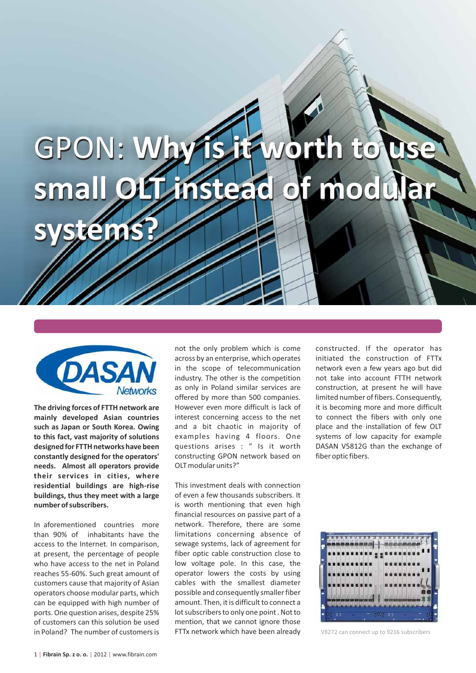## GPON: **Why is it worth to use**  GPON: **Why is it worth to use small OLT instead of modular small OLT instead of modular**



**systems? systems?**

**The driving forces of FTTH network are mainly developed Asian countries such as Japan or South Korea. Owing to this fact, vast majority of solutions designed for FTTH networks have been constantly designed for the operators' needs. Almost all operators provide their services in cities, where residential buildings are high-rise buildings, thus they meet with a large number of subscribers.**

In aforementioned countries more than 90% of inhabitants have the access to the Internet. In comparison, at present, the percentage of people who have access to the net in Poland reaches 55-60%. Such great amount of customers cause that majority of Asian operators choose modular parts, which can be equipped with high number of ports. One question arises, despite 25% of customers can this solution be used in Poland? The number of customers is not the only problem which is come across by an enterprise, which operates in the scope of telecommunication industry. The other is the competition as only in Poland similar services are offered by more than 500 companies. However even more difficult is lack of interest concerning access to the net and a bit chaotic in majority of examples having 4 floors. One questions arises : " Is it worth constructing GPON network based on OLT modular units?"

This investment deals with connection of even a few thousands subscribers. It is worth mentioning that even high financial resources on passive part of a network. Therefore, there are some limitations concerning absence of sewage systems, lack of agreement for fiber optic cable construction close to low voltage pole. In this case, the operator lowers the costs by using cables with the smallest diameter possible and consequently smaller fiber amount. Then, it is difficult to connect a lot subscribers to only one point . Not to mention, that we cannot ignore those FTTx network which have been already

constructed. If the operator has initiated the construction of FTTx network even a few years ago but did not take into account FTTH network construction, at present he will have limited number of fibers. Consequently, it is becoming more and more difficult to connect the fibers with only one place and the installation of few OLT systems of low capacity for example DASAN V5812G than the exchange of fiber optic fibers.



V8272 can connect up to 9216 subscribers